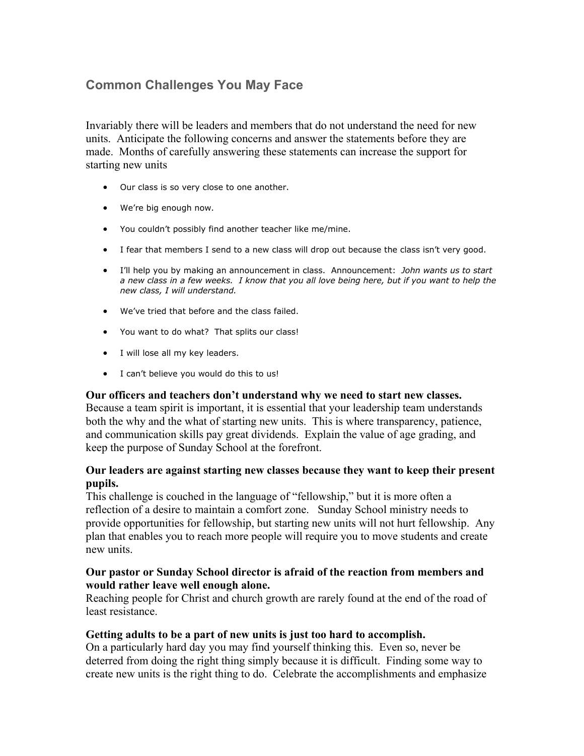# **Common Challenges You May Face**

Invariably there will be leaders and members that do not understand the need for new units. Anticipate the following concerns and answer the statements before they are made. Months of carefully answering these statements can increase the support for starting new units

- Our class is so very close to one another.
- We're big enough now.
- You couldn't possibly find another teacher like me/mine.
- I fear that members I send to a new class will drop out because the class isn't very good.
- I'll help you by making an announcement in class. Announcement: *John wants us to start a new class in a few weeks. I know that you all love being here, but if you want to help the new class, I will understand.*
- We've tried that before and the class failed.
- You want to do what? That splits our class!
- I will lose all my key leaders.
- I can't believe you would do this to us!

#### **Our officers and teachers don't understand why we need to start new classes.**

Because a team spirit is important, it is essential that your leadership team understands both the why and the what of starting new units. This is where transparency, patience, and communication skills pay great dividends. Explain the value of age grading, and keep the purpose of Sunday School at the forefront.

## **Our leaders are against starting new classes because they want to keep their present pupils.**

This challenge is couched in the language of "fellowship," but it is more often a reflection of a desire to maintain a comfort zone. Sunday School ministry needs to provide opportunities for fellowship, but starting new units will not hurt fellowship. Any plan that enables you to reach more people will require you to move students and create new units.

#### **Our pastor or Sunday School director is afraid of the reaction from members and would rather leave well enough alone.**

Reaching people for Christ and church growth are rarely found at the end of the road of least resistance.

## **Getting adults to be a part of new units is just too hard to accomplish.**

On a particularly hard day you may find yourself thinking this. Even so, never be deterred from doing the right thing simply because it is difficult. Finding some way to create new units is the right thing to do. Celebrate the accomplishments and emphasize